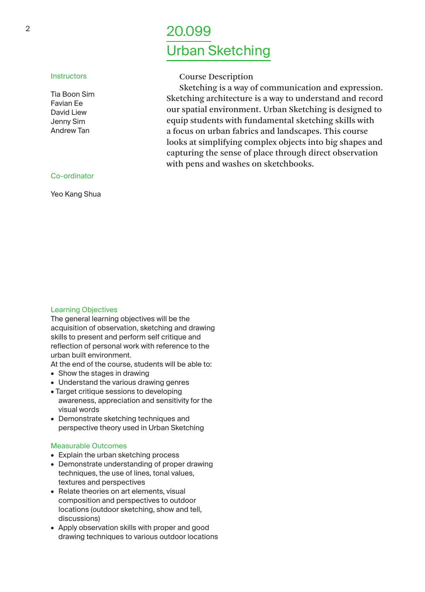# <sup>2</sup> 20.099 Urban Sketching

## Course Description

Sketching is a way of communication and expression. Sketching architecture is a way to understand and record our spatial environment. Urban Sketching is designed to equip students with fundamental sketching skills with a focus on urban fabrics and landscapes. This course looks at simplifying complex objects into big shapes and capturing the sense of place through direct observation with pens and washes on sketchbooks.

## Co-ordinator

**Instructors** Tia Boon Sim Favian Ee David Liew Jenny Sim Andrew Tan

Yeo Kang Shua

#### Learning Objectives

The general learning objectives will be the acquisition of observation, sketching and drawing skills to present and perform self critique and reflection of personal work with reference to the urban built environment.

At the end of the course, students will be able to:

- Show the stages in drawing
- Understand the various drawing genres
- Target critique sessions to developing awareness, appreciation and sensitivity for the visual words
- Demonstrate sketching techniques and perspective theory used in Urban Sketching

#### Measurable Outcomes

- Explain the urban sketching process
- Demonstrate understanding of proper drawing techniques, the use of lines, tonal values, textures and perspectives
- Relate theories on art elements, visual composition and perspectives to outdoor locations (outdoor sketching, show and tell, discussions)
- Apply observation skills with proper and good drawing techniques to various outdoor locations